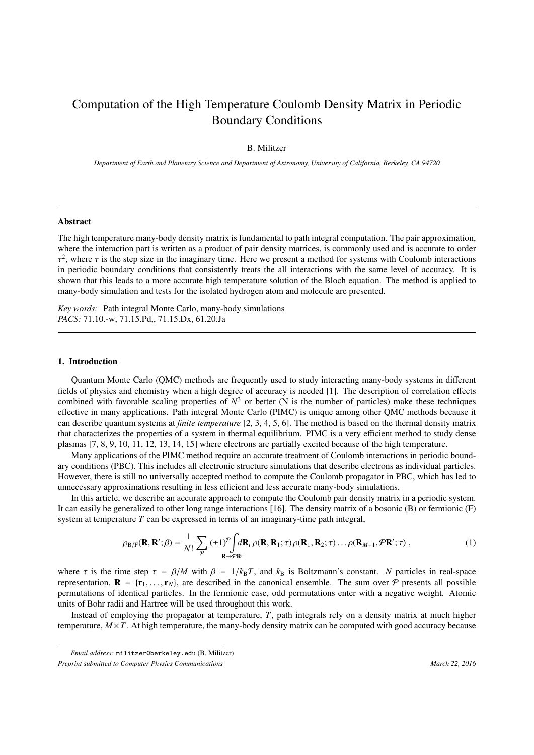# Computation of the High Temperature Coulomb Density Matrix in Periodic Boundary Conditions

# B. Militzer

*Department of Earth and Planetary Science and Department of Astronomy, University of California, Berkeley, CA 94720*

## Abstract

The high temperature many-body density matrix is fundamental to path integral computation. The pair approximation, where the interaction part is written as a product of pair density matrices, is commonly used and is accurate to order τ in periodic boundary conditions that consistently treats the all interactions with the same level of accuracy. It is <sup>2</sup>, where τ is the step size in the imaginary time. Here we present a method for systems with Coulomb interactions periodic boundary conditions that consistently treats the all interactions with the same level of accura shown that this leads to a more accurate high temperature solution of the Bloch equation. The method is applied to many-body simulation and tests for the isolated hydrogen atom and molecule are presented.

*Key words:* Path integral Monte Carlo, many-body simulations *PACS:* 71.10.-w, 71.15.Pd,, 71.15.Dx, 61.20.Ja

### 1. Introduction

Quantum Monte Carlo (QMC) methods are frequently used to study interacting many-body systems in different fields of physics and chemistry when a high degree of accuracy is needed [1]. The description of correlation effects combined with favorable scaling properties of  $N^3$  or better (N is the number of particles) make these techniques effective in many applications. Path integral Monte Carlo (PIMC) is unique among other QMC methods because it can describe quantum systems at *finite temperature* [2, 3, 4, 5, 6]. The method is based on the thermal density matrix that characterizes the properties of a system in thermal equilibrium. PIMC is a very efficient method to study dense plasmas [7, 8, 9, 10, 11, 12, 13, 14, 15] where electrons are partially excited because of the high temperature.

Many applications of the PIMC method require an accurate treatment of Coulomb interactions in periodic boundary conditions (PBC). This includes all electronic structure simulations that describe electrons as individual particles. However, there is still no universally accepted method to compute the Coulomb propagator in PBC, which has led to unnecessary approximations resulting in less efficient and less accurate many-body simulations.

In this article, we describe an accurate approach to compute the Coulomb pair density matrix in a periodic system. It can easily be generalized to other long range interactions [16]. The density matrix of a bosonic (B) or fermionic (F) system at temperature *T* can be expressed in terms of an imaginary-time path integral,

$$
\rho_{\mathbf{B}/\mathbf{F}}(\mathbf{R}, \mathbf{R}'; \beta) = \frac{1}{N!} \sum_{\mathcal{P}} (\pm 1)^{\mathcal{P}} \int d\mathbf{R}_i \rho(\mathbf{R}, \mathbf{R}_1; \tau) \rho(\mathbf{R}_1, \mathbf{R}_2; \tau) \dots \rho(\mathbf{R}_{M-1}, \mathcal{P}\mathbf{R}'; \tau) ,
$$
\n(1)

where  $\tau$  is the time step  $\tau = \beta/M$  with  $\beta = 1/k_B T$ , and  $k_B$  is Boltzmann's constant. *N* particles in real-space representation,  $\mathbf{R} = \{\mathbf{r}_1, \dots, \mathbf{r}_N\}$ , are described in the canonical ensemble. The sum over  $P$  presents all possible permutations of identical particles. In the fermionic case, odd permutations enter with a negative weight. Atomic units of Bohr radii and Hartree will be used throughout this work.

Instead of employing the propagator at temperature, *T*, path integrals rely on a density matrix at much higher temperature, *M*×*T*. At high temperature, the many-body density matrix can be computed with good accuracy because

*Email address:* militzer@berkeley.edu (B. Militzer)

*Preprint submitted to Computer Physics Communications* and the state of the state of the March 22, 2016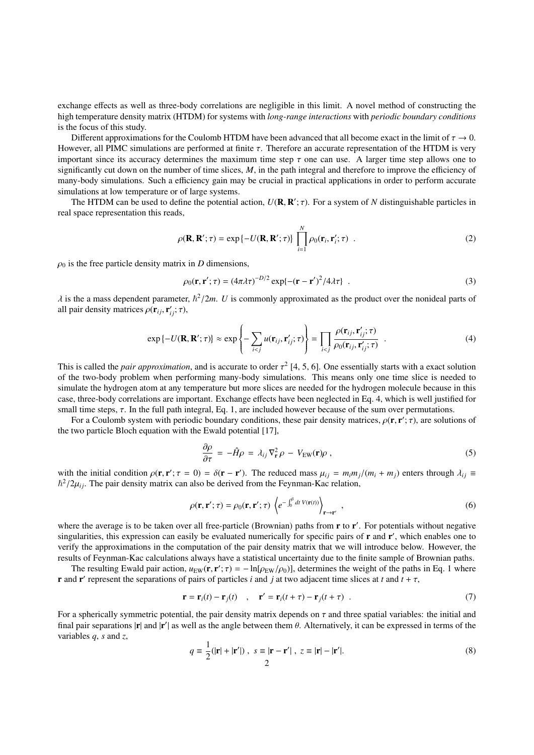exchange effects as well as three-body correlations are negligible in this limit. A novel method of constructing the high temperature density matrix (HTDM) for systems with *long-range interactions* with *periodic boundary conditions* is the focus of this study.

Different approximations for the Coulomb HTDM have been advanced that all become exact in the limit of  $\tau \to 0$ . However, all PIMC simulations are performed at finite  $\tau$ . Therefore an accurate representation of the HTDM is very important since its accuracy determines the maximum time step  $\tau$  one can use. A larger time step allows one to significantly cut down on the number of time slices, M, in the path integral and therefore to improve the efficiency of many-body simulations. Such a efficiency gain may be crucial in practical applications in order to perform accurate simulations at low temperature or of large systems.

The HTDM can be used to define the potential action,  $U(\mathbf{R}, \mathbf{R}'; \tau)$ . For a system of *N* distinguishable particles in real space representation this reads,

$$
\rho(\mathbf{R}, \mathbf{R}'; \tau) = \exp\left\{-U(\mathbf{R}, \mathbf{R}'; \tau)\right\} \prod_{i=1}^{N} \rho_0(\mathbf{r}_i, \mathbf{r}_i'; \tau) \quad . \tag{2}
$$

 $\rho_0$  is the free particle density matrix in *D* dimensions,

$$
\rho_0(\mathbf{r}, \mathbf{r}'; \tau) = (4\pi\lambda\tau)^{-D/2} \exp\{-(\mathbf{r} - \mathbf{r}')^2/4\lambda\tau\} \quad . \tag{3}
$$

 $\lambda$  is the a mass dependent parameter,  $\hbar^2/2m$ . *U* is commonly approximated as the product over the nonideal parts of all pair density matrices  $\rho(\mathbf{r}_i, \mathbf{r}'; \tau)$ all pair density matrices  $\rho(\mathbf{r}_{ij}, \mathbf{r}'_{ij}; \tau)$ ,

$$
\exp\{-U(\mathbf{R},\mathbf{R}';\tau)\}\approx\exp\left\{-\sum_{i
$$

This is called the *pair approximation*, and is accurate to order  $\tau^2$  [4, 5, 6]. One essentially starts with a exact solution of the two-body problem when performing many-body simulations. This means only one time slic of the two-body problem when performing many-body simulations. This means only one time slice is needed to simulate the hydrogen atom at any temperature but more slices are needed for the hydrogen molecule because in this case, three-body correlations are important. Exchange effects have been neglected in Eq. 4, which is well justified for small time steps,  $\tau$ . In the full path integral, Eq. 1, are included however because of the sum over permutations.

For a Coulomb system with periodic boundary conditions, these pair density matrices,  $\rho(\mathbf{r}, \mathbf{r}'; \tau)$ , are solutions of two particle Bloch equation with the Ewald potential [17] the two particle Bloch equation with the Ewald potential [17],

$$
\frac{\partial \rho}{\partial \tau} = -\hat{H}\rho = \lambda_{ij}\nabla_{\mathbf{r}}^2 \rho - V_{\text{EW}}(\mathbf{r})\rho , \qquad (5)
$$

with the initial condition  $\rho(\mathbf{r}, \mathbf{r}'; \tau = 0) = \delta(\mathbf{r} - \mathbf{r}')$ . The reduced mass  $\mu_{ij} = m_i m_j/(m_i + m_j)$  enters through  $\lambda_{ij} \equiv \hbar^2/2\mu$ . The pair density matrix can also be derived from the Feynman-Kac relation  $\hbar^2/2\mu_{ij}$ . The pair density matrix can also be derived from the Feynman-Kac relation,

$$
\rho(\mathbf{r}, \mathbf{r}'; \tau) = \rho_0(\mathbf{r}, \mathbf{r}'; \tau) \left\langle e^{-\int_0^\beta dt \, V(\mathbf{r}(t))} \right\rangle_{\mathbf{r} \to \mathbf{r}'}, \qquad (6)
$$

where the average is to be taken over all free-particle (Brownian) paths from r to r'. For potentials without negative singularities, this expression can easily be evaluated numerically for specific pairs of  $r$  and  $r'$ , which enables one to verify the approximations in the computation of the pair density matrix that we will introduce below. However, the results of Feynman-Kac calculations always have a statistical uncertainty due to the finite sample of Brownian paths.

The resulting Ewald pair action,  $u_{EW}(\mathbf{r}, \mathbf{r}'; \tau) = -\ln[\rho_{EW}/\rho_0]$ , determines the weight of the paths in Eq. 1 where the separations of pairs of particles *i* and *i* at two adjacent time slices at *t* and *t* +  $\tau$ **r** and **r**' represent the separations of pairs of particles *i* and *j* at two adjacent time slices at *t* and  $t + \tau$ ,

$$
\mathbf{r} = \mathbf{r}_i(t) - \mathbf{r}_j(t) \quad , \quad \mathbf{r}' = \mathbf{r}_i(t + \tau) - \mathbf{r}_j(t + \tau) \quad . \tag{7}
$$

For a spherically symmetric potential, the pair density matrix depends on  $\tau$  and three spatial variables: the initial and final pair separations  $|\mathbf{r}|$  and  $|\mathbf{r}'|$  as well as the angle between them  $\theta$ . Alternatively, it can be expressed in terms of the variables  $a$  s and z variables *q*, *s* and *z*,

$$
q \equiv \frac{1}{2}(|\mathbf{r}| + |\mathbf{r}'|) , \quad s \equiv |\mathbf{r} - \mathbf{r}'| , \quad z \equiv |\mathbf{r}| - |\mathbf{r}'|.
$$

$$
\tag{8}
$$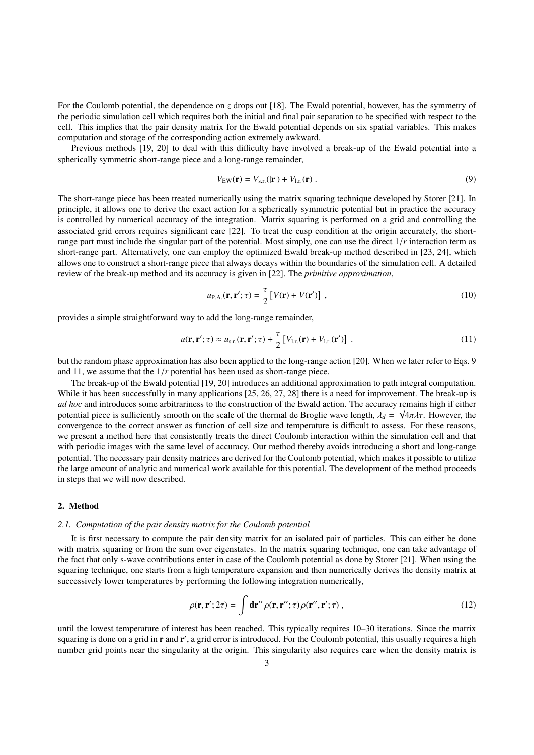For the Coulomb potential, the dependence on *z* drops out [18]. The Ewald potential, however, has the symmetry of the periodic simulation cell which requires both the initial and final pair separation to be specified with respect to the cell. This implies that the pair density matrix for the Ewald potential depends on six spatial variables. This makes computation and storage of the corresponding action extremely awkward.

Previous methods [19, 20] to deal with this difficulty have involved a break-up of the Ewald potential into a spherically symmetric short-range piece and a long-range remainder,

$$
V_{\text{EW}}(\mathbf{r}) = V_{\text{s.r.}}(|\mathbf{r}|) + V_{\text{l.r.}}(\mathbf{r}) \tag{9}
$$

The short-range piece has been treated numerically using the matrix squaring technique developed by Storer [21]. In principle, it allows one to derive the exact action for a spherically symmetric potential but in practice the accuracy is controlled by numerical accuracy of the integration. Matrix squaring is performed on a grid and controlling the associated grid errors requires significant care [22]. To treat the cusp condition at the origin accurately, the shortrange part must include the singular part of the potential. Most simply, one can use the direct 1/*<sup>r</sup>* interaction term as short-range part. Alternatively, one can employ the optimized Ewald break-up method described in [23, 24], which allows one to construct a short-range piece that always decays within the boundaries of the simulation cell. A detailed review of the break-up method and its accuracy is given in [22]. The *primitive approximation*,

$$
u_{\text{P.A.}}(\mathbf{r}, \mathbf{r}'; \tau) = \frac{\tau}{2} \left[ V(\mathbf{r}) + V(\mathbf{r}') \right] , \qquad (10)
$$

provides a simple straightforward way to add the long-range remainder,

$$
u(\mathbf{r}, \mathbf{r}'; \tau) \approx u_{\text{s.r.}}(\mathbf{r}, \mathbf{r}'; \tau) + \frac{\tau}{2} \left[ V_{\text{l.r.}}(\mathbf{r}) + V_{\text{l.r.}}(\mathbf{r}') \right] \,. \tag{11}
$$

but the random phase approximation has also been applied to the long-range action [20]. When we later refer to Eqs. 9 and 11, we assume that the 1/*<sup>r</sup>* potential has been used as short-range piece.

The break-up of the Ewald potential [19, 20] introduces an additional approximation to path integral computation. While it has been successfully in many applications [25, 26, 27, 28] there is a need for improvement. The break-up is *ad hoc* and introduces some arbitrariness to the construction of the Ewald action. The accuracy remains high if either potential piece is sufficiently smooth on the scale of the thermal de Broglie wave length,  $\lambda_d = \sqrt{4\pi\lambda\tau}$ . However, the convergence to the correct answer as function of cell size and temperature is difficult to assess. convergence to the correct answer as function of cell size and temperature is difficult to assess. For these reasons, we present a method here that consistently treats the direct Coulomb interaction within the simulation cell and that with periodic images with the same level of accuracy. Our method thereby avoids introducing a short and long-range potential. The necessary pair density matrices are derived for the Coulomb potential, which makes it possible to utilize the large amount of analytic and numerical work available for this potential. The development of the method proceeds in steps that we will now described.

# 2. Method

#### *2.1. Computation of the pair density matrix for the Coulomb potential*

It is first necessary to compute the pair density matrix for an isolated pair of particles. This can either be done with matrix squaring or from the sum over eigenstates. In the matrix squaring technique, one can take advantage of the fact that only s-wave contributions enter in case of the Coulomb potential as done by Storer [21]. When using the squaring technique, one starts from a high temperature expansion and then numerically derives the density matrix at successively lower temperatures by performing the following integration numerically,

$$
\rho(\mathbf{r}, \mathbf{r}'; 2\tau) = \int \mathbf{dr''} \rho(\mathbf{r}, \mathbf{r''}; \tau) \rho(\mathbf{r''}, \mathbf{r'}; \tau) , \qquad (12)
$$

until the lowest temperature of interest has been reached. This typically requires 10–30 iterations. Since the matrix squaring is done on a grid in r and r', a grid error is introduced. For the Coulomb potential, this usually requires a high number grid points near the singularity at the origin. This singularity also requires care when the density matrix is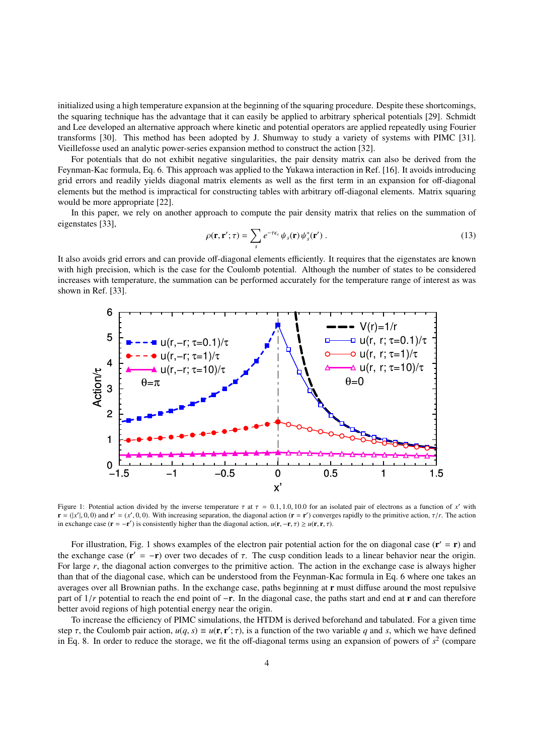initialized using a high temperature expansion at the beginning of the squaring procedure. Despite these shortcomings, the squaring technique has the advantage that it can easily be applied to arbitrary spherical potentials [29]. Schmidt and Lee developed an alternative approach where kinetic and potential operators are applied repeatedly using Fourier transforms [30]. This method has been adopted by J. Shumway to study a variety of systems with PIMC [31]. Vieillefosse used an analytic power-series expansion method to construct the action [32].

For potentials that do not exhibit negative singularities, the pair density matrix can also be derived from the Feynman-Kac formula, Eq. 6. This approach was applied to the Yukawa interaction in Ref. [16]. It avoids introducing grid errors and readily yields diagonal matrix elements as well as the first term in an expansion for off-diagonal elements but the method is impractical for constructing tables with arbitrary off-diagonal elements. Matrix squaring would be more appropriate [22].

In this paper, we rely on another approach to compute the pair density matrix that relies on the summation of eigenstates [33],

$$
\rho(\mathbf{r}, \mathbf{r}'; \tau) = \sum_{s} e^{-\tau \epsilon_s} \psi_s(\mathbf{r}) \psi_s^*(\mathbf{r}')
$$
 (13)

It also avoids grid errors and can provide off-diagonal elements efficiently. It requires that the eigenstates are known with high precision, which is the case for the Coulomb potential. Although the number of states to be considered increases with temperature, the summation can be performed accurately for the temperature range of interest as was shown in Ref. [33].



Figure 1: Potential action divided by the inverse temperature  $\tau$  at  $\tau = 0.1, 1.0, 10.0$  for an isolated pair of electrons as a function of *x'* with  $\mathbf{r} = (x' | 0.0)$  and  $\mathbf{r}' = (x' | 0.0)$ . With increasing separation  $\mathbf{r} = (x', 0, 0)$  and  $\mathbf{r}' = (x', 0, 0)$ . With increasing separation, the diagonal action ( $\mathbf{r} = \mathbf{r}'$ ) converges rapidly to the primitive action,  $\tau/r$ . The action<br>in exchange case ( $\mathbf{r} = -\mathbf{r}'$ ) is consistently in exchange case ( $\mathbf{r} = -\mathbf{r}'$ ) is consistently higher than the diagonal action,  $u(\mathbf{r}, -\mathbf{r}, \tau) \ge u(\mathbf{r}, \mathbf{r}, \tau)$ .

For illustration, Fig. 1 shows examples of the electron pair potential action for the on diagonal case  $(r' = r)$  and the exchange case  $(\mathbf{r}' = -\mathbf{r})$  over two decades of  $\tau$ . The cusp condition leads to a linear behavior near the origin.<br>For large r, the diagonal action converges to the primitive action. The action in the exchange ca For large r, the diagonal action converges to the primitive action. The action in the exchange case is always higher than that of the diagonal case, which can be understood from the Feynman-Kac formula in Eq. 6 where one takes an averages over all Brownian paths. In the exchange case, paths beginning at r must diffuse around the most repulsive part of 1/*<sup>r</sup>* potential to reach the end point of <sup>−</sup>r. In the diagonal case, the paths start and end at <sup>r</sup> and can therefore better avoid regions of high potential energy near the origin.

To increase the efficiency of PIMC simulations, the HTDM is derived beforehand and tabulated. For a given time step  $\tau$ , the Coulomb pair action,  $u(q, s) \equiv u(\mathbf{r}, \mathbf{r}'; \tau)$ , is a function of the two variable *q* and *s*, which we have defined<br>in Eq. 8. In order to reduce the storage, we fit the off-diagonal terms using an expansi in Eq. 8. In order to reduce the storage, we fit the off-diagonal terms using an expansion of powers of  $s<sup>2</sup>$  (compare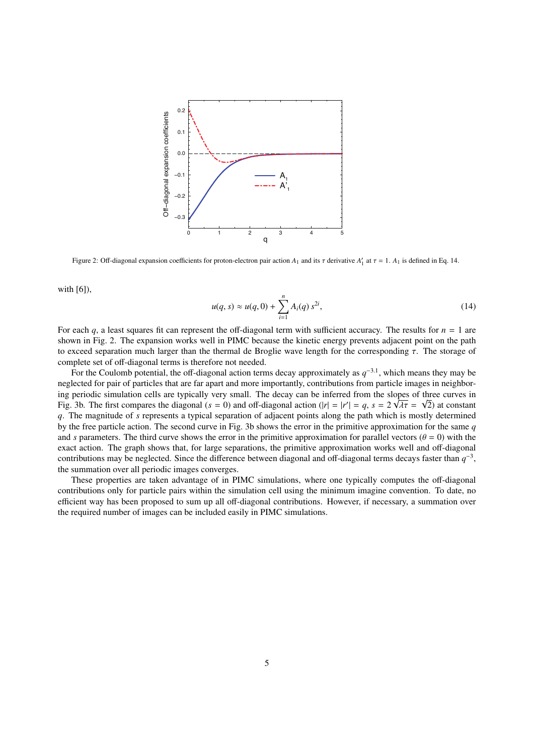

Figure 2: Off-diagonal expansion coefficients for proton-electron pair action  $A_1$  and its  $\tau$  derivative  $A'_1$  at  $\tau = 1$ .  $A_1$  is defined in Eq. 14.

with [6]),

$$
u(q, s) \approx u(q, 0) + \sum_{i=1}^{n} A_i(q) s^{2i},
$$
\n(14)

For each *q*, a least squares fit can represent the off-diagonal term with sufficient accuracy. The results for  $n = 1$  are shown in Fig. 2. The expansion works well in PIMC because the kinetic energy prevents adjacent point on the path to exceed separation much larger than the thermal de Broglie wave length for the corresponding τ. The storage of complete set of off-diagonal terms is therefore not needed.

For the Coulomb potential, the off-diagonal action terms decay approximately as  $q^{-3.1}$ , which means they may be neglected for pair of particles that are far apart and more importantly, contributions from particle images in neighboring periodic simulation cells are typically very small. The decay can be inferred from the slopes of three curves in Fig. 3b. The first compares the diagonal  $(s = 0)$  and off-diagonal action  $(|r| = |r'| = q$ ,  $s = 2\sqrt{\lambda \tau} = \sqrt{2}$ ) at constant at the magnitude of s represents a typical separation of adiagent points along the path which is mostl *q*. The magnitude of *s* represents a typical separation of adjacent points along the path which is mostly determined by the free particle action. The second curve in Fig. 3b shows the error in the primitive approximation for the same *q* and *s* parameters. The third curve shows the error in the primitive approximation for parallel vectors ( $\theta = 0$ ) with the exact action. The graph shows that, for large separations, the primitive approximation works well and off-diagonal contributions may be neglected. Since the difference between diagonal and off-diagonal terms decays faster than  $q^{-3}$ , the summation over all periodic images converges.

These properties are taken advantage of in PIMC simulations, where one typically computes the off-diagonal contributions only for particle pairs within the simulation cell using the minimum imagine convention. To date, no efficient way has been proposed to sum up all off-diagonal contributions. However, if necessary, a summation over the required number of images can be included easily in PIMC simulations.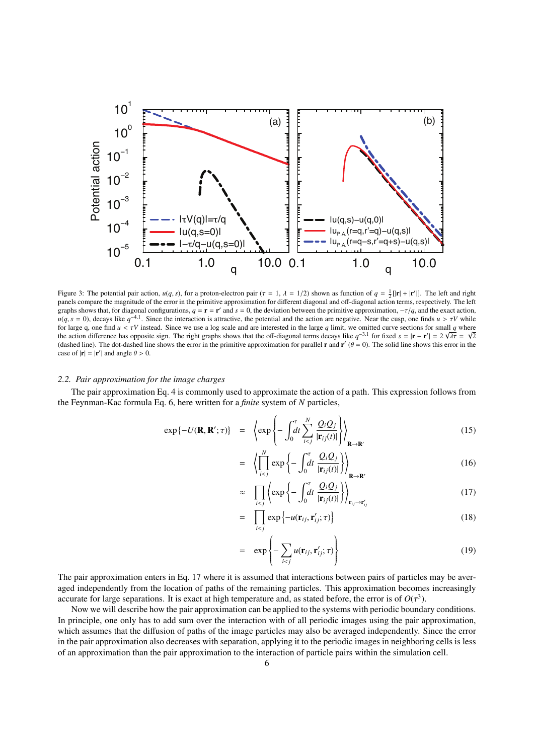

Figure 3: The potential pair action,  $u(q, s)$ , for a proton-electron pair ( $\tau = 1$ ,  $\lambda = 1/2$ ) shown as function of  $q = \frac{1}{2} [\mathbf{r} + |\mathbf{r}'|]$ . The left and right and right compare the magnitude of the error in the primiti panels compare the magnitude of the error in the primitive approximation for different diagonal and off-diagonal action terms, respectively. The left graphs shows that, for diagonal configurations,  $q = \mathbf{r} = \mathbf{r}'$  and  $s = 0$ , the deviation between the primitive approximation,  $-\tau/q$ , and the exact action,  $u(s - 0)$  decays like  $q^{-4.1}$ . Since the interaction is attract  $u(q, s = 0)$ , decays like  $q^{-4.1}$ . Since the interaction is attractive, the potential and the action are negative. Near the cusp, one finds  $u > \tau V$  while for large q, one find  $u < \tau V$  instead. Since we use a log scale and are interested in the large q limit, we omitted curve sections for small q where<br>the action difference has opposite sign. The right graphs shows that the (dashed line). The dot-dashed line shows the error in the primitive approximation for parallel **r** and **r'** ( $\theta = 0$ ). The solid line shows this error in the case of  $|\mathbf{r}| = |\mathbf{r}'|$  and angle  $\theta > 0$ case of  $|\mathbf{r}| = |\mathbf{r}'|$  and angle  $\theta > 0$ .

## *2.2. Pair approximation for the image charges*

The pair approximation Eq. 4 is commonly used to approximate the action of a path. This expression follows from the Feynman-Kac formula Eq. 6, here written for a *finite* system of *N* particles,

$$
\exp\{-U(\mathbf{R}, \mathbf{R}'; \tau)\} = \left\langle \exp\left\{-\int_0^{\tau} dt \sum_{i < j}^{N} \frac{Q_i Q_j}{|\mathbf{r}_{ij}(t)|}\right\} \right\rangle_{\mathbf{R} \to \mathbf{R}'} \tag{15}
$$

$$
= \left\langle \left| \prod_{i < j}^{N} \exp \left\{ - \int_{0}^{\tau} dt \frac{Q_{i} Q_{j}}{|\mathbf{r}_{ij}(t)|} \right\} \right\rangle_{\mathbf{R} \to \mathbf{R'}} \tag{16}
$$

$$
\approx \prod_{i < j} \left\langle \exp\left\{-\int_0^{\tau} dt \, \frac{Q_i Q_j}{|\mathbf{r}_{ij}(t)|}\right\} \right\rangle_{\mathbf{r}_{ij} \to \mathbf{r}'_{ij}} \tag{17}
$$

$$
= \prod_{i < j} \exp\left\{-u(\mathbf{r}_{ij}, \mathbf{r}'_{ij}; \tau)\right\} \tag{18}
$$

$$
= \exp\left\{-\sum_{i < j} u(\mathbf{r}_{ij}, \mathbf{r}'_{ij}; \tau)\right\} \tag{19}
$$

The pair approximation enters in Eq. 17 where it is assumed that interactions between pairs of particles may be averaged independently from the location of paths of the remaining particles. This approximation becomes increasingly accurate for large separations. It is exact at high temperature and, as stated before, the error is of  $O(\tau^3)$ .<br>Now we will describe how the pair approximation can be applied to the systems with periodic bounds

Now we will describe how the pair approximation can be applied to the systems with periodic boundary conditions. In principle, one only has to add sum over the interaction with of all periodic images using the pair approximation, which assumes that the diffusion of paths of the image particles may also be averaged independently. Since the error in the pair approximation also decreases with separation, applying it to the periodic images in neighboring cells is less of an approximation than the pair approximation to the interaction of particle pairs within the simulation cell.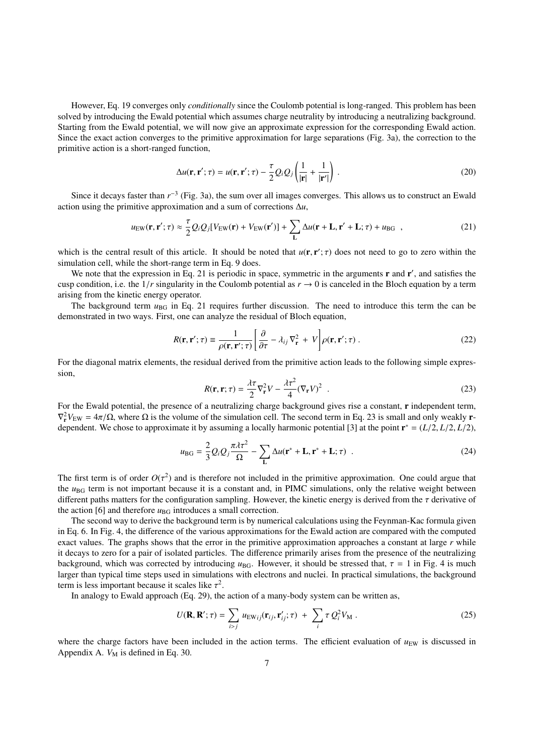However, Eq. 19 converges only *conditionally* since the Coulomb potential is long-ranged. This problem has been solved by introducing the Ewald potential which assumes charge neutrality by introducing a neutralizing background. Starting from the Ewald potential, we will now give an approximate expression for the corresponding Ewald action. Since the exact action converges to the primitive approximation for large separations (Fig. 3a), the correction to the primitive action is a short-ranged function,

$$
\Delta u(\mathbf{r}, \mathbf{r}'; \tau) = u(\mathbf{r}, \mathbf{r}'; \tau) - \frac{\tau}{2} Q_i Q_j \left( \frac{1}{|\mathbf{r}|} + \frac{1}{|\mathbf{r}'|} \right) . \tag{20}
$$

Since it decays faster than  $r^{-3}$  (Fig. 3a), the sum over all images converges. This allows us to construct an Ewald action using the primitive approximation and a sum of corrections ∆*u*,

$$
u_{\rm EW}(\mathbf{r}, \mathbf{r}'; \tau) \approx \frac{\tau}{2} Q_i Q_j [V_{\rm EW}(\mathbf{r}) + V_{\rm EW}(\mathbf{r}')] + \sum_{\mathbf{L}} \Delta u(\mathbf{r} + \mathbf{L}, \mathbf{r}' + \mathbf{L}; \tau) + u_{\rm BG} \quad , \tag{21}
$$

which is the central result of this article. It should be noted that  $u(\mathbf{r}, \mathbf{r}'; \tau)$  does not need to go to zero within the simulation cell while the short-range term in Eq. 9 does simulation cell, while the short-range term in Eq. 9 does.

We note that the expression in Eq. 21 is periodic in space, symmetric in the arguments  $\bf{r}$  and  $\bf{r}'$ , and satisfies the cusp condition, i.e. the  $1/r$  singularity in the Coulomb potential as  $r \to 0$  is canceled in the Bloch equation by a term arising from the kinetic energy operator.

The background term  $u_{BG}$  in Eq. 21 requires further discussion. The need to introduce this term the can be demonstrated in two ways. First, one can analyze the residual of Bloch equation,

$$
R(\mathbf{r}, \mathbf{r}'; \tau) \equiv \frac{1}{\rho(\mathbf{r}, \mathbf{r}'; \tau)} \left[ \frac{\partial}{\partial \tau} - \lambda_{ij} \nabla_{\mathbf{r}}^2 + V \right] \rho(\mathbf{r}, \mathbf{r}'; \tau) \,. \tag{22}
$$

For the diagonal matrix elements, the residual derived from the primitive action leads to the following simple expression,

$$
R(\mathbf{r}, \mathbf{r}; \tau) = \frac{\lambda \tau}{2} \nabla_{\mathbf{r}}^2 V - \frac{\lambda \tau^2}{4} (\nabla_{\mathbf{r}} V)^2
$$
 (23)

For the Ewald potential, the presence of a neutralizing charge background gives rise a constant, r independent term,  $\nabla_{\mathbf{r}}^2 V_{\text{EW}} = 4\pi/\Omega$ , where  $\Omega$  is the volume of the simulation cell. The second term in Eq. 23 is small and only weakly **r**-<br>dependent. We chose to approximate it by assuming a locally harmonic potential [3] at dependent. We chose to approximate it by assuming a locally harmonic potential [3] at the point  $\mathbf{r}^* = (L/2, L/2, L/2)$ ,

$$
u_{\rm BG} = \frac{2}{3} Q_i Q_j \frac{\pi \lambda \tau^2}{\Omega} - \sum_{\mathbf{L}} \Delta u(\mathbf{r}^* + \mathbf{L}, \mathbf{r}^* + \mathbf{L}; \tau) \quad . \tag{24}
$$

The first term is of order  $O(\tau^2)$  and is therefore not included in the primitive approximation. One could argue that the use term is not important because it is a constant and in PIMC simulations, only the relative weig the *u*<sub>BG</sub> term is not important because it is a constant and, in PIMC simulations, only the relative weight between different paths matters for the configuration sampling. However, the kinetic energy is derived from the  $\tau$  derivative of the action [6] and therefore  $u_{\text{BG}}$  introduces a small correction.

The second way to derive the background term is by numerical calculations using the Feynman-Kac formula given in Eq. 6. In Fig. 4, the difference of the various approximations for the Ewald action are compared with the computed exact values. The graphs shows that the error in the primitive approximation approaches a constant at large *r* while it decays to zero for a pair of isolated particles. The difference primarily arises from the presence of the neutralizing background, which was corrected by introducing  $u_{\text{BG}}$ . However, it should be stressed that,  $\tau = 1$  in Fig. 4 is much larger than typical time steps used in simulations with electrons and nuclei. In practical simulations, the background term is less important because it scales like  $\tau^2$ .<br>In analogy to Ewald approach (Eq. 29), the

In analogy to Ewald approach (Eq. 29), the action of a many-body system can be written as,

$$
U(\mathbf{R}, \mathbf{R}'; \tau) = \sum_{i > j} u_{\text{EW}ij}(\mathbf{r}_{ij}, \mathbf{r}'_{ij}; \tau) + \sum_{i} \tau Q_i^2 V_M.
$$
 (25)

where the charge factors have been included in the action terms. The efficient evaluation of  $u_{EW}$  is discussed in Appendix A.  $V_M$  is defined in Eq. 30.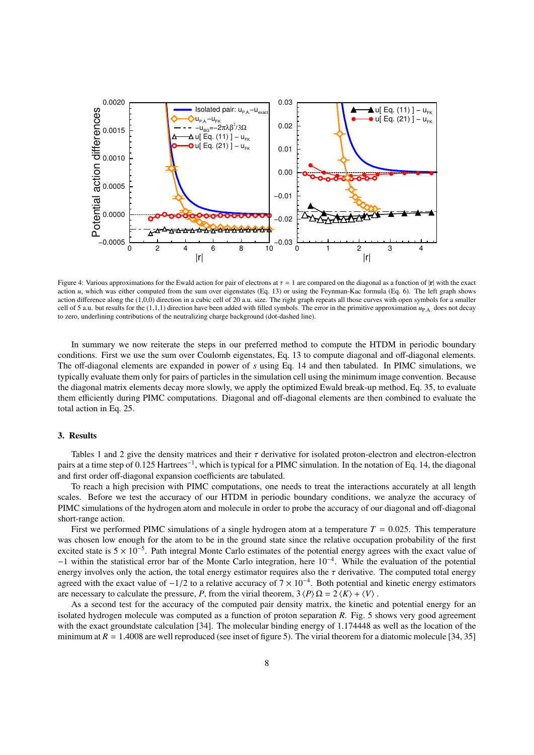

Figure 4: Various approximations for the Ewald action for pair of electrons at  $\tau = 1$  are compared on the diagonal as a function of  $|\mathbf{r}|$  with the exact action *u*, which was either computed from the sum over eigenstates (Eq. 13) or using the Feynman-Kac formula (Eq. 6). The left graph shows action difference along the (1,0,0) direction in a cubic cell of 20 a.u. size. The right graph repeats all those curves with open symbols for a smaller cell of 5 a.u. but results for the (1,1,1) direction have been added with filled symbols. The error in the primitive approximation  $u_{\text{P.A.}}$  does not decay to zero, underlining contributions of the neutralizing charge background (dot-dashed line).

In summary we now reiterate the steps in our preferred method to compute the HTDM in periodic boundary conditions. First we use the sum over Coulomb eigenstates, Eq. 13 to compute diagonal and off-diagonal elements. The off-diagonal elements are expanded in power of *s* using Eq. 14 and then tabulated. In PIMC simulations, we typically evaluate them only for pairs of particles in the simulation cell using the minimum image convention. Because the diagonal matrix elements decay more slowly, we apply the optimized Ewald break-up method, Eq. 35, to evaluate them efficiently during PIMC computations. Diagonal and off-diagonal elements are then combined to evaluate the total action in Eq. 25.

# 3. Results

Tables 1 and 2 give the density matrices and their  $\tau$  derivative for isolated proton-electron and electron-electron pairs at a time step of 0.125 Hartrees<sup>-1</sup>, which is typical for a PIMC simulation. In the notation of Eq. 14, the diagonal and first order off-diagonal expansion coefficients are tabulated.

To reach a high precision with PIMC computations, one needs to treat the interactions accurately at all length scales. Before we test the accuracy of our HTDM in periodic boundary conditions, we analyze the accuracy of PIMC simulations of the hydrogen atom and molecule in order to probe the accuracy of our diagonal and off-diagonal short-range action.

First we performed PIMC simulations of a single hydrogen atom at a temperature  $T = 0.025$ . This temperature was chosen low enough for the atom to be in the ground state since the relative occupation probability of the first excited state is  $5 \times 10^{-5}$ . Path integral Monte Carlo estimates of the potential energy agrees with the exact value of −1 within the statistical error bar of the Monte Carlo integration, here 10<sup>−</sup><sup>4</sup> . While the evaluation of the potential energy involves only the action, the total energy estimator requires also the  $\tau$  derivative. The computed total energy agreed with the exact value of  $-1/2$  to a relative accuracy of  $7 \times 10^{-4}$ . Both potential and kinetic energy estimators are necessary to calculate the pressure *P* from the virial theorem  $3/P \ D - 2/K + IV$ . are necessary to calculate the pressure, *P*, from the virial theorem,  $3 \langle P \rangle \Omega = 2 \langle K \rangle + \langle V \rangle$ .

As a second test for the accuracy of the computed pair density matrix, the kinetic and potential energy for an isolated hydrogen molecule was computed as a function of proton separation *R*. Fig. 5 shows very good agreement with the exact groundstate calculation [34]. The molecular binding energy of 1.174448 as well as the location of the minimum at  $R = 1.4008$  are well reproduced (see inset of figure 5). The virial theorem for a diatomic molecule [34, 35]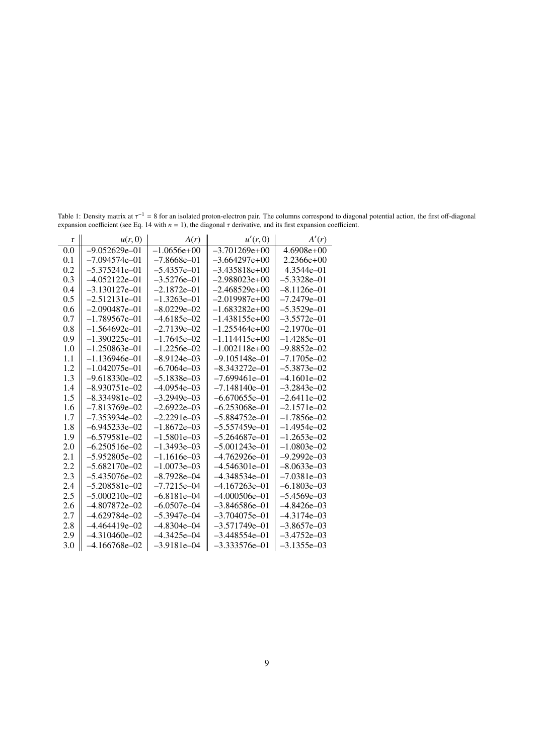| $\mathbf{r}$ | u(r,0)            | A(r)            | u'(r,0)           | A'(r)           |
|--------------|-------------------|-----------------|-------------------|-----------------|
| 0.0          | $-9.052629e - 01$ | $-1.0656e+00$   | $-3.701269e+00$   | $4.6908e+00$    |
| 0.1          | $-7.094574e - 01$ | $-7.8668e - 01$ | $-3.664297e+00$   | $2.2366e+00$    |
| 0.2          | $-5.375241e - 01$ | $-5.4357e - 01$ | $-3.435818e+00$   | 4.3544e-01      |
| 0.3          | $-4.052122e - 01$ | $-3.5276e - 01$ | $-2.988023e+00$   | $-5.3328e - 01$ |
| 0.4          | $-3.130127e - 01$ | $-2.1872e - 01$ | $-2.468529e+00$   | $-8.1126e-01$   |
| 0.5          | $-2.512131e-01$   | $-1.3263e - 01$ | $-2.019987e+00$   | $-7.2479e - 01$ |
| 0.6          | $-2.090487e - 01$ | $-8.0229e - 02$ | $-1.683282e+00$   | $-5.3529e - 01$ |
| 0.7          | $-1.789567e - 01$ | $-4.6185e-02$   | $-1.438155e+00$   | $-3.5572e - 01$ |
| 0.8          | $-1.564692e-01$   | $-2.7139e - 02$ | $-1.255464e+00$   | $-2.1970e - 01$ |
| 0.9          | $-1.390225e - 01$ | $-1.7645e - 02$ | $-1.114415e+00$   | $-1.4285e - 01$ |
| 1.0          | $-1.250863e - 01$ | $-1.2256e - 02$ | $-1.002118e+00$   | $-9.8852e - 02$ |
| 1.1          | $-1.136946e - 01$ | $-8.9124e - 03$ | $-9.105148e - 01$ | $-7.1705e - 02$ |
| 1.2          | $-1.042075e-01$   | $-6.7064e - 03$ | $-8.343272e - 01$ | $-5.3873e - 02$ |
| 1.3          | $-9.618330e - 02$ | $-5.1838e - 03$ | $-7.699461e - 01$ | $-4.1601e - 02$ |
| 1.4          | $-8.930751e - 02$ | $-4.0954e - 03$ | $-7.148140e - 01$ | $-3.2843e - 02$ |
| 1.5          | $-8.334981e - 02$ | $-3.2949e - 03$ | $-6.670655e - 01$ | $-2.6411e-02$   |
| 1.6          | $-7.813769e - 02$ | $-2.6922e - 03$ | $-6.253068e - 01$ | $-2.1571e - 02$ |
| 1.7          | $-7.353934e - 02$ | $-2.2291e-03$   | $-5.884752e - 01$ | $-1.7856e - 02$ |
| 1.8          | $-6.945233e - 02$ | $-1.8672e - 03$ | -5.557459e-01     | $-1.4954e - 02$ |
| 1.9          | $-6.579581e-02$   | $-1.5801e - 03$ | $-5.264687e - 01$ | $-1.2653e-02$   |
| 2.0          | $-6.250516e - 02$ | $-1.3493e - 03$ | $-5.001243e - 01$ | $-1.0803e - 02$ |
| 2.1          | $-5.952805e - 02$ | $-1.1616e - 03$ | $-4.762926e - 01$ | $-9.2992e - 03$ |
| 2.2          | $-5.682170e - 02$ | $-1.0073e - 03$ | $-4.546301e-01$   | $-8.0633e - 03$ |
| 2.3          | $-5.435076e - 02$ | $-8.7928e - 04$ | $-4.348534e - 01$ | $-7.0381e - 03$ |
| 2.4          | $-5.208581e - 02$ | $-7.7215e - 04$ | $-4.167263e - 01$ | $-6.1803e - 03$ |
| 2.5          | $-5.000210e - 02$ | $-6.8181e-04$   | $-4.000506e - 01$ | $-5.4569e - 03$ |
| 2.6          | $-4.807872e - 02$ | $-6.0507e - 04$ | $-3.846586e - 01$ | $-4.8426e - 03$ |
| 2.7          | $-4.629784e - 02$ | $-5.3947e - 04$ | $-3.704075e - 01$ | $-4.3174e - 03$ |
| 2.8          | $-4.464419e - 02$ | $-4.8304e - 04$ | $-3.571749e - 01$ | $-3.8657e - 03$ |
| 2.9          | $-4.310460e - 02$ | $-4.3425e - 04$ | $-3.448554e - 01$ | $-3.4752e - 03$ |
| 3.0          | $-4.166768e - 02$ | $-3.9181e - 04$ | $-3.333576e - 01$ | $-3.1355e - 03$ |

Table 1: Density matrix at  $\tau^{-1} = 8$  for an isolated proton-electron pair. The columns correspond to diagonal potential action, the first off-diagonal expansion coefficient expansion coefficient (see Eq. 14 with  $n = 1$ ), the diagonal  $\tau$  derivative, and its first expansion coefficient.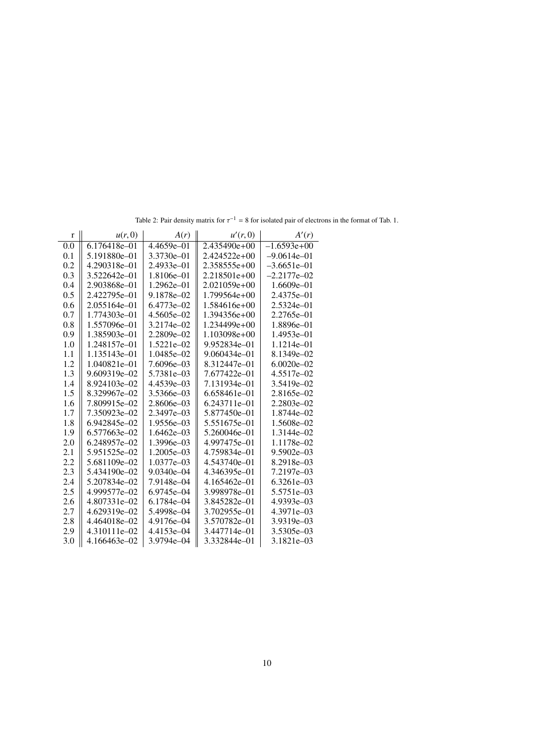| r   | u(r,0)       | A(r)           | u'(r,0)          | A'(r)           |
|-----|--------------|----------------|------------------|-----------------|
| 0.0 | 6.176418e-01 | $4.4659e - 01$ | $2.435490e+00$   | $-1.6593e+00$   |
| 0.1 | 5.191880e-01 | 3.3730e-01     | 2.424522e+00     | $-9.0614e - 01$ |
| 0.2 | 4.290318e-01 | 2.4933e-01     | 2.358555e+00     | $-3.6651e-01$   |
| 0.3 | 3.522642e-01 | 1.8106e-01     | $2.218501e+00$   | $-2.2177e - 02$ |
| 0.4 | 2.903868e-01 | $1.2962e - 01$ | $2.021059e+00$   | $1.6609e - 01$  |
| 0.5 | 2.422795e-01 | 9.1878e-02     | $1.799564e+00$   | 2.4375e-01      |
| 0.6 | 2.055164e-01 | 6.4773e-02     | 1.584616e+00     | 2.5324e-01      |
| 0.7 | 1.774303e-01 | 4.5605e-02     | 1.394356e+00     | 2.2765e-01      |
| 0.8 | 1.557096e-01 | 3.2174e-02     | 1.234499e+00     | 1.8896e-01      |
| 0.9 | 1.385903e-01 | 2.2809e-02     | $1.103098e+00$   | $1.4953e - 01$  |
| 1.0 | 1.248157e-01 | 1.5221e-02     | 9.952834e-01     | 1.1214e-01      |
| 1.1 | 1.135143e-01 | 1.0485e-02     | $9.060434e - 01$ | 8.1349e-02      |
| 1.2 | 1.040821e-01 | 7.6096e-03     | 8.312447e-01     | $6.0020e - 02$  |
| 1.3 | 9.609319e-02 | 5.7381e-03     | 7.677422e-01     | 4.5517e-02      |
| 1.4 | 8.924103e-02 | 4.4539e-03     | 7.131934e-01     | 3.5419e-02      |
| 1.5 | 8.329967e-02 | 3.5366e-03     | 6.658461e-01     | 2.8165e-02      |
| 1.6 | 7.809915e-02 | 2.8606e-03     | 6.243711e-01     | 2.2803e-02      |
| 1.7 | 7.350923e-02 | 2.3497e-03     | 5.877450e-01     | 1.8744e-02      |
| 1.8 | 6.942845e-02 | 1.9556e-03     | 5.551675e-01     | 1.5608e-02      |
| 1.9 | 6.577663e-02 | 1.6462e-03     | 5.260046e-01     | 1.3144e-02      |
| 2.0 | 6.248957e-02 | 1.3996e-03     | 4.997475e-01     | 1.1178e-02      |
| 2.1 | 5.951525e-02 | 1.2005e-03     | 4.759834e-01     | $9.5902e - 03$  |
| 2.2 | 5.681109e-02 | 1.0377e-03     | 4.543740e-01     | 8.2918e-03      |
| 2.3 | 5.434190e-02 | $9.0340e - 04$ | 4.346395e-01     | 7.2197e-03      |
| 2.4 | 5.207834e-02 | 7.9148e-04     | 4.165462e-01     | 6.3261e-03      |
| 2.5 | 4.999577e-02 | 6.9745e-04     | 3.998978e-01     | 5.5751e-03      |
| 2.6 | 4.807331e-02 | 6.1784e-04     | 3.845282e-01     | 4.9393e-03      |
| 2.7 | 4.629319e-02 | 5.4998e-04     | 3.702955e-01     | 4.3971e-03      |
| 2.8 | 4.464018e-02 | 4.9176e-04     | 3.570782e-01     | 3.9319e-03      |
| 2.9 | 4.310111e-02 | 4.4153e-04     | 3.447714e-01     | 3.5305e-03      |
| 3.0 | 4.166463e-02 | 3.9794e-04     | 3.332844e-01     | 3.1821e-03      |

Table 2: Pair density matrix for  $\tau^{-1} = 8$  for isolated pair of electrons in the format of Tab. 1.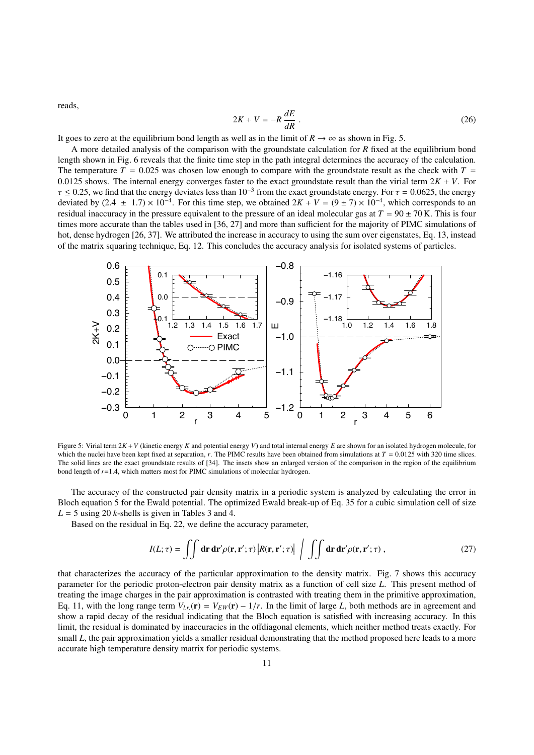reads,

$$
2K + V = -R \frac{dE}{dR} \tag{26}
$$

It goes to zero at the equilibrium bond length as well as in the limit of  $R \to \infty$  as shown in Fig. 5.

A more detailed analysis of the comparison with the groundstate calculation for *R* fixed at the equilibrium bond length shown in Fig. 6 reveals that the finite time step in the path integral determines the accuracy of the calculation. The temperature  $T = 0.025$  was chosen low enough to compare with the groundstate result as the check with  $T =$ 0.0125 shows. The internal energy converges faster to the exact groundstate result than the virial term  $2K + V$ . For  $\tau \le 0.25$ , we find that the energy deviates less than  $10^{-3}$  from the exact groundstate energy. For  $\tau = 0.0625$ , the energy deviated by  $(2.4 + 1.7) \times 10^{-4}$  For this time step, we obtained  $2K + V = (9 + 7) \times 10^{-4}$  which deviated by  $(2.4 \pm 1.7) \times 10^{-4}$ . For this time step, we obtained  $2K + V = (9 \pm 7) \times 10^{-4}$ , which corresponds to an residual inaccuracy in the pressure equivalent to the pressure of an ideal molecular gas at  $T = 90 + 70K$ . residual inaccuracy in the pressure equivalent to the pressure of an ideal molecular gas at  $T = 90 \pm 70$  K. This is four times more accurate than the tables used in [36, 27] and more than sufficient for the majority of PIMC simulations of hot, dense hydrogen [26, 37]. We attributed the increase in accuracy to using the sum over eigenstates, Eq. 13, instead of the matrix squaring technique, Eq. 12. This concludes the accuracy analysis for isolated systems of particles.



Figure 5: Virial term 2*K* +*V* (kinetic energy *K* and potential energy *V*) and total internal energy *E* are shown for an isolated hydrogen molecule, for which the nuclei have been kept fixed at separation,  $r$ . The PIMC results have been obtained from simulations at  $T = 0.0125$  with 320 time slices. The solid lines are the exact groundstate results of [34]. The insets show an enlarged version of the comparison in the region of the equilibrium bond length of *r*=1.4, which matters most for PIMC simulations of molecular hydrogen.

The accuracy of the constructed pair density matrix in a periodic system is analyzed by calculating the error in Bloch equation 5 for the Ewald potential. The optimized Ewald break-up of Eq. 35 for a cubic simulation cell of size  $L = 5$  using 20 *k*-shells is given in Tables 3 and 4.

Based on the residual in Eq. 22, we define the accuracy parameter,

$$
I(L; \tau) = \iint \mathbf{dr} \, \mathbf{dr}' \rho(\mathbf{r}, \mathbf{r}'; \tau) \left| R(\mathbf{r}, \mathbf{r}'; \tau) \right| \int \int \mathbf{dr} \, \mathbf{dr}' \rho(\mathbf{r}, \mathbf{r}'; \tau) , \qquad (27)
$$

that characterizes the accuracy of the particular approximation to the density matrix. Fig. 7 shows this accuracy parameter for the periodic proton-electron pair density matrix as a function of cell size *L*. This present method of treating the image charges in the pair approximation is contrasted with treating them in the primitive approximation, Eq. 11, with the long range term  $V_{l,r}(\mathbf{r}) = V_{EW}(\mathbf{r}) - 1/r$ . In the limit of large *L*, both methods are in agreement and show a rapid decay of the residual indicating that the Bloch equation is satisfied with increasing accuracy. In this limit, the residual is dominated by inaccuracies in the offdiagonal elements, which neither method treats exactly. For small *L*, the pair approximation yields a smaller residual demonstrating that the method proposed here leads to a more accurate high temperature density matrix for periodic systems.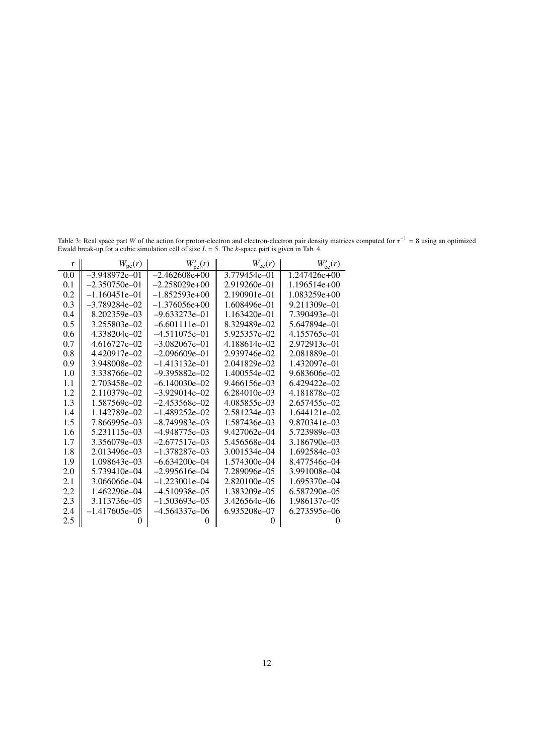Table 3: Real space part *W* of the action for proton-electron and electron-electron pair density matrices computed for  $\tau^{-1} = 8$  using an optimized Fyvald break-up for a cubic simulation cell of size  $I = 5$ . The k-space Ewald break-up for a cubic simulation cell of size *L* = 5. The *k*-space part is given in Tab. 4.

| $\mathbf{r}$ | $W_{\rm pe}(r)$    | $W'_{\text{pe}}(r)$ | $W_{ee}(r)$      | $W'_{\rm ee}(r)$ |
|--------------|--------------------|---------------------|------------------|------------------|
| 0.0          | $-3.948972e - 01$  | $-2.462608e+00$     | 3.779454e-01     | $1.247426e+00$   |
| 0.1          | $-2.350750e - 01$  | $-2.258029e+00$     | 2.919260e-01     | $1.196514e+00$   |
| 0.2          | $-1.160451e-01$    | $-1.852593e+00$     | 2.190901e-01     | $1.083259e+00$   |
| 0.3          | $-3.789284e - 02$  | $-1.376056e+00$     | 1.608496e-01     | 9.211309e-01     |
| 0.4          | 8.202359e-03       | $-9.633273e - 01$   | $1.163420e - 01$ | 7.390493e-01     |
| 0.5          | 3.255803e-02       | $-6.601111e-01$     | 8.329489e-02     | 5.647894e-01     |
| 0.6          | 4.338204e-02       | $-4.511075e - 01$   | 5.925357e-02     | 4.155765e-01     |
| 0.7          | 4.616727e-02       | $-3.082067e - 01$   | 4.188614e-02     | 2.972913e-01     |
| 0.8          | 4.420917e-02       | $-2.096609e - 01$   | 2.939746e-02     | 2.081889e-01     |
| 0.9          | 3.948008e-02       | $-1.413132e - 01$   | 2.041829e-02     | 1.432097e-01     |
| 1.0          | 3.338766e-02       | $-9.395882e - 02$   | 1.400554e-02     | 9.683606e-02     |
| 1.1          | 2.703458e-02       | $-6.140030e - 02$   | 9.466156e-03     | 6.429422e-02     |
| 1.2          | 2.110379e-02       | $-3.929014e-02$     | $6.284010e - 03$ | 4.181878e-02     |
| 1.3          | 1.587569e-02       | $-2.453568e - 02$   | 4.085855e-03     | 2.657455e-02     |
| 1.4          | 1.142789e-02       | $-1.489252e - 02$   | 2.581234e-03     | 1.644121e-02     |
| 1.5          | 7.866995e–03       | $-8.749983e - 03$   | 1.587436e-03     | 9.870341e-03     |
| 1.6          | 5.231115e-03       | $-4.948775e - 03$   | 9.427062e-04     | 5.723989e-03     |
| 1.7          | 3.356079e-03       | $-2.677517e - 03$   | 5.456568e–04     | 3.186790e-03     |
| 1.8          | 2.013496e-03       | $-1.378287e - 03$   | 3.001534e-04     | 1.692584e-03     |
| 1.9          | 1.098643e-03       | $-6.634200e - 04$   | 1.574300e-04     | 8.477546e–04     |
| 2.0          | 5.739410e-04       | $-2.995616e - 04$   | 7.289096e-05     | 3.991008e-04     |
| 2.1          | 3.066066e-04       | $-1.223001e-04$     | 2.820100e-05     | 1.695370e-04     |
| 2.2          | 1.462296e–04       | $-4.510938e - 05$   | 1.383209e-05     | 6.587290e-05     |
| 2.3          | 3.113736e-05       | $-1.503693e - 05$   | 3.426564e-06     | 1.986137e-05     |
| 2.4          | $-1.417605e - 0.5$ | –4.564337e–06       | 6.935208e-07     | 6.273595e-06     |
| 2.5          |                    |                     | 0                |                  |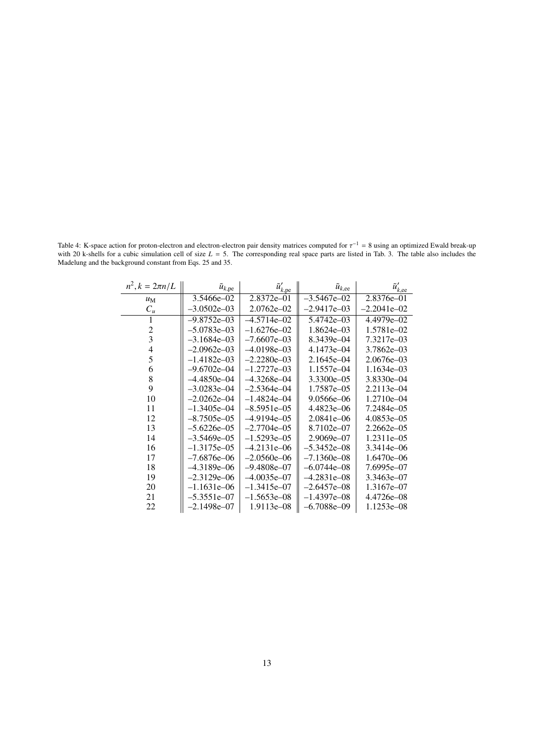Table 4: K-space action for proton-electron and electron-electron pair density matrices computed for  $\tau^{-1} = 8$  using an optimized Ewald break-up<br>with 20 k-shells for a cubic simulation cell of size  $L = 5$ . The correspond with 20 k-shells for a cubic simulation cell of size  $L = 5$ . The corresponding real space parts are listed in Tab. 3. The table also includes the Madelung and the background constant from Eqs. 25 and 35.

| $n^2, k = 2\pi n/L$     | $\tilde{u}_{k,pe}$ | $\tilde{u}'_{\underline{k},\underline{pe}}$ | $\tilde{u}_{k,ee}$ | $\tilde{u}'_{\underline{k,\text{ee}}}$ |
|-------------------------|--------------------|---------------------------------------------|--------------------|----------------------------------------|
| $u_M$                   | 3.5466e–02         | 2.8372e-01                                  | $-3.5467e - 02$    | 2.8376e-01                             |
| $C_u$                   | $-3.0502e - 03$    | $2.0762e - 02$                              | $-2.9417e - 03$    | $-2.2041e - 02$                        |
|                         | $-9.8752e - 03$    | $-4.5714e - 02$                             | 5.4742e-03         | 4.4979e-02                             |
| $\overline{2}$          | $-5.0783e - 03$    | $-1.6276e - 02$                             | 1.8624e-03         | 1.5781e-02                             |
| $\overline{\mathbf{3}}$ | $-3.1684e - 03$    | $-7.6607e - 03$                             | 8.3439e-04         | 7.3217e-03                             |
| $\overline{4}$          | $-2.0962e - 03$    | $-4.0198e - 03$                             | 4.1473e-04         | 3.7862e-03                             |
| 5                       | $-1.4182e - 03$    | $-2.2280e - 03$                             | 2.1645e-04         | 2.0676e-03                             |
| 6                       | $-9.6702e - 04$    | $-1.2727e - 03$                             | 1.1557e-04         | 1.1634e-03                             |
| 8                       | $-4.4850e - 04$    | $-4.3268e - 04$                             | 3.3300e-05         | 3.8330e-04                             |
| 9                       | $-3.0283e - 04$    | $-2.5364e - 04$                             | 1.7587e-05         | 2.2113e-04                             |
| 10                      | $-2.0262e - 04$    | $-1.4824e - 04$                             | 9.0566e-06         | 1.2710e-04                             |
| 11                      | $-1.3405e - 04$    | $-8.5951e - 05$                             | 4.4823e-06         | 7.2484e-05                             |
| 12                      | $-8.7505e - 05$    | $-4.9194e - 05$                             | 2.0841e-06         | 4.0853e-05                             |
| 13                      | $-5.6226e - 05$    | $-2.7704e - 05$                             | 8.7102e-07         | $2.2662e - 05$                         |
| 14                      | $-3.5469e - 05$    | $-1.5293e - 05$                             | 2.9069e-07         | 1.2311e-05                             |
| 16                      | $-1.3175e - 0.5$   | $-4.2131e - 06$                             | $-5.3452e - 08$    | 3.3414e–06                             |
| 17                      | $-7.6876e - 06$    | $-2.0560e - 06$                             | $-7.1360e - 08$    | 1.6470e-06                             |
| 18                      | $-4.3189e - 06$    | $-9.4808e - 07$                             | $-6.0744e - 08$    | 7.6995e-07                             |
| 19                      | $-2.3129e - 06$    | $-4.0035e - 07$                             | $-4.2831e - 08$    | 3.3463e-07                             |
| 20                      | $-1.1631e - 06$    | $-1.3415e - 07$                             | $-2.6457e - 08$    | 1.3167e-07                             |
| 21                      | $-5.3551e - 07$    | $-1.5653e - 08$                             | $-1.4397e - 08$    | 4.4726e-08                             |
| 22                      | $-2.1498e - 07$    | 1.9113e-08                                  | $-6.7088e - 09$    | 1.1253e-08                             |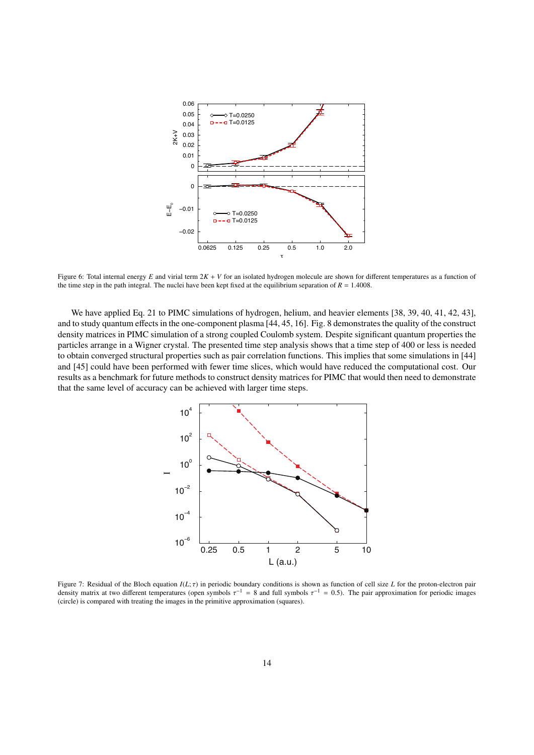

Figure 6: Total internal energy *E* and virial term 2*K* + *V* for an isolated hydrogen molecule are shown for different temperatures as a function of the time step in the path integral. The nuclei have been kept fixed at the equilibrium separation of  $R = 1.4008$ .

We have applied Eq. 21 to PIMC simulations of hydrogen, helium, and heavier elements [38, 39, 40, 41, 42, 43], and to study quantum effects in the one-component plasma [44, 45, 16]. Fig. 8 demonstrates the quality of the construct density matrices in PIMC simulation of a strong coupled Coulomb system. Despite significant quantum properties the particles arrange in a Wigner crystal. The presented time step analysis shows that a time step of 400 or less is needed to obtain converged structural properties such as pair correlation functions. This implies that some simulations in [44] and [45] could have been performed with fewer time slices, which would have reduced the computational cost. Our results as a benchmark for future methods to construct density matrices for PIMC that would then need to demonstrate that the same level of accuracy can be achieved with larger time steps.



Figure 7: Residual of the Bloch equation *<sup>I</sup>*(*L*; τ) in periodic boundary conditions is shown as function of cell size *<sup>L</sup>* for the proton-electron pair density matrix at two different temperatures (open symbols  $\tau^{-1} = 8$  and full symbols  $\tau^{-1} = 0.5$ ). The pair approximation for periodic images (circle) is compared with treating the images in the primitive approximation (circle) is compared with treating the images in the primitive approximation (squares).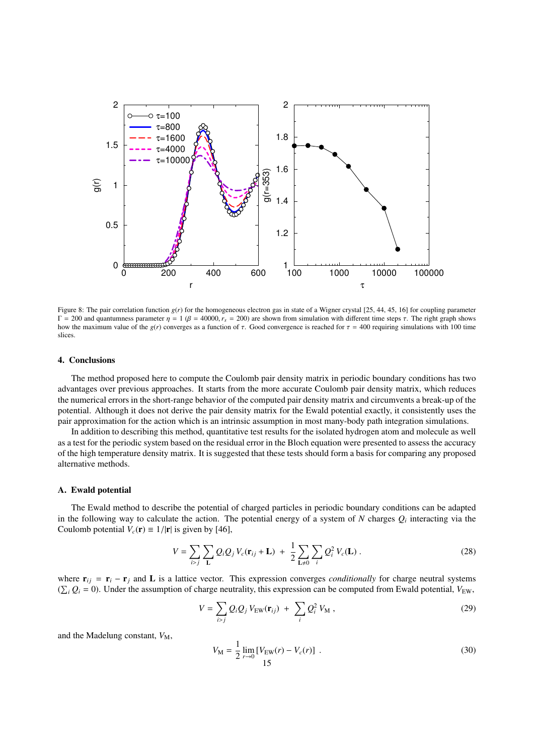

Figure 8: The pair correlation function  $g(r)$  for the homogeneous electron gas in state of a Wigner crystal [25, 44, 45, 16] for coupling parameter  $Γ = 200$  and quantumness parameter  $η = 1 (β = 40000, r<sub>s</sub> = 200)$  are shown from simulation with different time steps τ. The right graph shows how the maximum value of the  $g(r)$  converges as a function of  $\tau$ . Good convergence is reached for  $\tau = 400$  requiring simulations with 100 time slices.

## 4. Conclusions

The method proposed here to compute the Coulomb pair density matrix in periodic boundary conditions has two advantages over previous approaches. It starts from the more accurate Coulomb pair density matrix, which reduces the numerical errors in the short-range behavior of the computed pair density matrix and circumvents a break-up of the potential. Although it does not derive the pair density matrix for the Ewald potential exactly, it consistently uses the pair approximation for the action which is an intrinsic assumption in most many-body path integration simulations.

In addition to describing this method, quantitative test results for the isolated hydrogen atom and molecule as well as a test for the periodic system based on the residual error in the Bloch equation were presented to assess the accuracy of the high temperature density matrix. It is suggested that these tests should form a basis for comparing any proposed alternative methods.

#### A. Ewald potential

The Ewald method to describe the potential of charged particles in periodic boundary conditions can be adapted in the following way to calculate the action. The potential energy of a system of  $N$  charges  $Q_i$  interacting via the Coulomb potential  $V_c(\mathbf{r}) \equiv 1/|\mathbf{r}|$  is given by [46],

$$
V = \sum_{i>j} \sum_{\mathbf{L}} Q_i Q_j V_c(\mathbf{r}_{ij} + \mathbf{L}) + \frac{1}{2} \sum_{\mathbf{L} \neq 0} \sum_i Q_i^2 V_c(\mathbf{L}) .
$$
 (28)

where  $\mathbf{r}_{ij} = \mathbf{r}_i - \mathbf{r}_j$  and L is a lattice vector. This expression converges *conditionally* for charge neutral systems  $(\sum_i Q_i = 0)$ . Under the assumption of charge neutrality, this expression can be computed from Ewald potential,  $V_{\text{EW}}$ ,

$$
V = \sum_{i>j} Q_i Q_j V_{\text{EW}}(\mathbf{r}_{ij}) + \sum_i Q_i^2 V_{\text{M}} , \qquad (29)
$$

and the Madelung constant,  $V_M$ ,

$$
V_{\rm M} = \frac{1}{2} \lim_{r \to 0} \left[ V_{\rm EW}(r) - V_c(r) \right] \ . \tag{30}
$$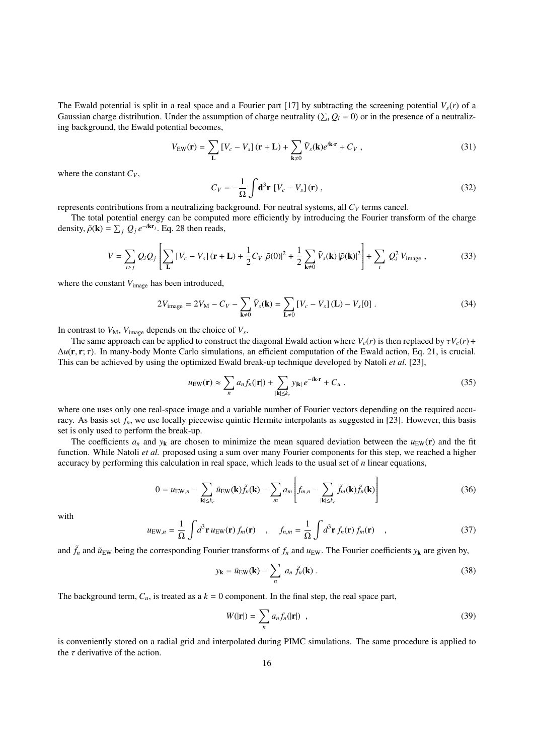The Ewald potential is split in a real space and a Fourier part [17] by subtracting the screening potential  $V<sub>s</sub>(r)$  of a Gaussian charge distribution. Under the assumption of charge neutrality ( $\sum_i Q_i = 0$ ) or in the presence of a neutralizing background, the Ewald potential becomes,

$$
V_{\rm EW}(\mathbf{r}) = \sum_{\mathbf{L}} \left[ V_c - V_s \right] (\mathbf{r} + \mathbf{L}) + \sum_{\mathbf{k} \neq 0} \tilde{V}_s(\mathbf{k}) e^{i\mathbf{k} \cdot \mathbf{r}} + C_V , \qquad (31)
$$

where the constant  $C_V$ ,

$$
C_V = -\frac{1}{\Omega} \int \mathbf{d}^3 \mathbf{r} \left[ V_c - V_s \right] (\mathbf{r}) \,, \tag{32}
$$

represents contributions from a neutralizing background. For neutral systems, all  $C_V$  terms cancel.

The total potential energy can be computed more efficiently by introducing the Fourier transform of the charge density,  $\tilde{\rho}(\mathbf{k}) = \sum_j Q_j e^{-i\mathbf{k}\mathbf{r}_j}$ . Eq. 28 then reads,

$$
V = \sum_{i>j} Q_i Q_j \left[ \sum_{\mathbf{L}} \left[ V_c - V_s \right] (\mathbf{r} + \mathbf{L}) + \frac{1}{2} C_V |\tilde{\rho}(0)|^2 + \frac{1}{2} \sum_{\mathbf{k} \neq 0} \tilde{V}_s(\mathbf{k}) |\tilde{\rho}(\mathbf{k})|^2 \right] + \sum_i Q_i^2 V_{\text{image}} , \qquad (33)
$$

where the constant  $V_{\text{image}}$  has been introduced,

$$
2V_{\text{image}} = 2V_M - C_V - \sum_{\mathbf{k} \neq 0} \tilde{V}_s(\mathbf{k}) = \sum_{\mathbf{L} \neq 0} \left[ V_c - V_s \right] (\mathbf{L}) - V_s[0] \ . \tag{34}
$$

In contrast to  $V_M$ ,  $V_{image}$  depends on the choice of  $V_s$ .

The same approach can be applied to construct the diagonal Ewald action where  $V_c(r)$  is then replaced by  $\tau V_c(r)$  + <sup>∆</sup>*u*(r, <sup>r</sup>; τ). In many-body Monte Carlo simulations, an efficient computation of the Ewald action, Eq. 21, is crucial. This can be achieved by using the optimized Ewald break-up technique developed by Natoli *et al.* [23],

$$
u_{\rm EW}(\mathbf{r}) \approx \sum_n a_n f_n(|\mathbf{r}|) + \sum_{|\mathbf{k}| \le k_c} y_{|\mathbf{k}|} e^{-i\mathbf{k}\cdot\mathbf{r}} + C_u.
$$
 (35)

where one uses only one real-space image and a variable number of Fourier vectors depending on the required accuracy. As basis set  $f_n$ , we use locally piecewise quintic Hermite interpolants as suggested in [23]. However, this basis set is only used to perform the break-up.

The coefficients  $a_n$  and  $y_k$  are chosen to minimize the mean squared deviation between the  $u_{EW}(\mathbf{r})$  and the fit function. While Natoli *et al.* proposed using a sum over many Fourier components for this step, we reached a higher accuracy by performing this calculation in real space, which leads to the usual set of *n* linear equations,

$$
0 = u_{\text{EW},n} - \sum_{|\mathbf{k}| \le k_c} \tilde{u}_{\text{EW}}(\mathbf{k}) \tilde{f}_n(\mathbf{k}) - \sum_m a_m \left[ f_{m,n} - \sum_{|\mathbf{k}| \le k_c} \tilde{f}_m(\mathbf{k}) \tilde{f}_n(\mathbf{k}) \right]
$$
(36)

with

$$
u_{\text{EW},n} = \frac{1}{\Omega} \int d^3 \mathbf{r} \, u_{\text{EW}}(\mathbf{r}) \, f_m(\mathbf{r}) \quad , \quad f_{n,m} = \frac{1}{\Omega} \int d^3 \mathbf{r} \, f_n(\mathbf{r}) \, f_m(\mathbf{r}) \quad , \tag{37}
$$

and  $\tilde{f}_n$  and  $\tilde{u}_{EW}$  being the corresponding Fourier transforms of  $f_n$  and  $u_{EW}$ . The Fourier coefficients  $y_k$  are given by,

$$
y_{\mathbf{k}} = \tilde{u}_{\text{EW}}(\mathbf{k}) - \sum_{n} a_n \tilde{f}_n(\mathbf{k}) .
$$
 (38)

The background term,  $C_u$ , is treated as a  $k = 0$  component. In the final step, the real space part,

$$
W(|\mathbf{r}|) = \sum_{n} a_n f_n(|\mathbf{r}|) \quad , \tag{39}
$$

is conveniently stored on a radial grid and interpolated during PIMC simulations. The same procedure is applied to the  $\tau$  derivative of the action.